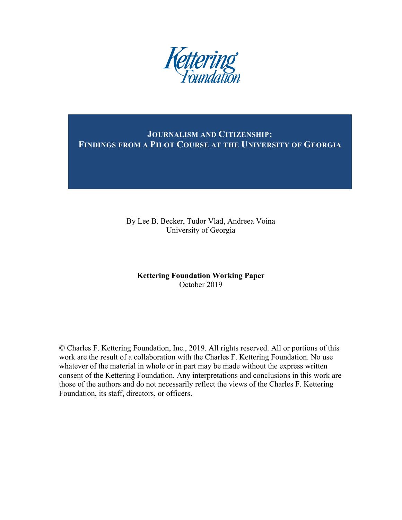

**JOURNALISM AND CITIZENSHIP: FINDINGS FROM A PILOT COURSE AT THE UNIVERSITY OF GEORGIA**

> By Lee B. Becker, Tudor Vlad, Andreea Voina University of Georgia

### **Kettering Foundation Working Paper** October 2019

© Charles F. Kettering Foundation, Inc., 2019. All rights reserved. All or portions of this work are the result of a collaboration with the Charles F. Kettering Foundation. No use whatever of the material in whole or in part may be made without the express written consent of the Kettering Foundation. Any interpretations and conclusions in this work are those of the authors and do not necessarily reflect the views of the Charles F. Kettering Foundation, its staff, directors, or officers.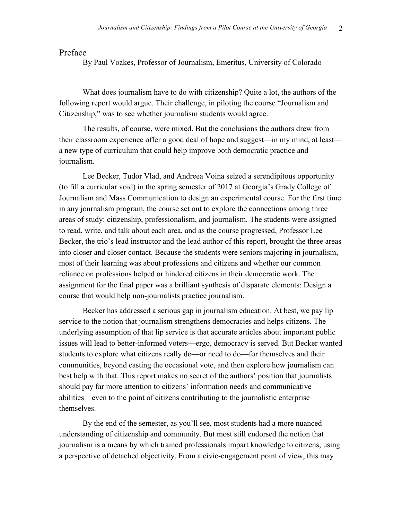#### Preface

By Paul Voakes, Professor of Journalism, Emeritus, University of Colorado

What does journalism have to do with citizenship? Quite a lot, the authors of the following report would argue. Their challenge, in piloting the course "Journalism and Citizenship," was to see whether journalism students would agree.

The results, of course, were mixed. But the conclusions the authors drew from their classroom experience offer a good deal of hope and suggest—in my mind, at least a new type of curriculum that could help improve both democratic practice and journalism.

Lee Becker, Tudor Vlad, and Andreea Voina seized a serendipitous opportunity (to fill a curricular void) in the spring semester of 2017 at Georgia's Grady College of Journalism and Mass Communication to design an experimental course. For the first time in any journalism program, the course set out to explore the connections among three areas of study: citizenship, professionalism, and journalism. The students were assigned to read, write, and talk about each area, and as the course progressed, Professor Lee Becker, the trio's lead instructor and the lead author of this report, brought the three areas into closer and closer contact. Because the students were seniors majoring in journalism, most of their learning was about professions and citizens and whether our common reliance on professions helped or hindered citizens in their democratic work. The assignment for the final paper was a brilliant synthesis of disparate elements: Design a course that would help non-journalists practice journalism.

Becker has addressed a serious gap in journalism education. At best, we pay lip service to the notion that journalism strengthens democracies and helps citizens. The underlying assumption of that lip service is that accurate articles about important public issues will lead to better-informed voters—ergo, democracy is served. But Becker wanted students to explore what citizens really do—or need to do—for themselves and their communities, beyond casting the occasional vote, and then explore how journalism can best help with that. This report makes no secret of the authors' position that journalists should pay far more attention to citizens' information needs and communicative abilities—even to the point of citizens contributing to the journalistic enterprise themselves.

By the end of the semester, as you'll see, most students had a more nuanced understanding of citizenship and community. But most still endorsed the notion that journalism is a means by which trained professionals impart knowledge to citizens, using a perspective of detached objectivity. From a civic-engagement point of view, this may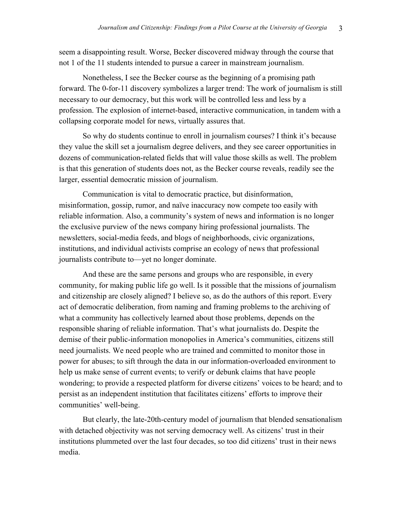seem a disappointing result. Worse, Becker discovered midway through the course that not 1 of the 11 students intended to pursue a career in mainstream journalism.

Nonetheless, I see the Becker course as the beginning of a promising path forward. The 0-for-11 discovery symbolizes a larger trend: The work of journalism is still necessary to our democracy, but this work will be controlled less and less by a profession. The explosion of internet-based, interactive communication, in tandem with a collapsing corporate model for news, virtually assures that.

So why do students continue to enroll in journalism courses? I think it's because they value the skill set a journalism degree delivers, and they see career opportunities in dozens of communication-related fields that will value those skills as well. The problem is that this generation of students does not, as the Becker course reveals, readily see the larger, essential democratic mission of journalism.

Communication is vital to democratic practice, but disinformation, misinformation, gossip, rumor, and naïve inaccuracy now compete too easily with reliable information. Also, a community's system of news and information is no longer the exclusive purview of the news company hiring professional journalists. The newsletters, social-media feeds, and blogs of neighborhoods, civic organizations, institutions, and individual activists comprise an ecology of news that professional journalists contribute to—yet no longer dominate.

And these are the same persons and groups who are responsible, in every community, for making public life go well. Is it possible that the missions of journalism and citizenship are closely aligned? I believe so, as do the authors of this report. Every act of democratic deliberation, from naming and framing problems to the archiving of what a community has collectively learned about those problems, depends on the responsible sharing of reliable information. That's what journalists do. Despite the demise of their public-information monopolies in America's communities, citizens still need journalists. We need people who are trained and committed to monitor those in power for abuses; to sift through the data in our information-overloaded environment to help us make sense of current events; to verify or debunk claims that have people wondering; to provide a respected platform for diverse citizens' voices to be heard; and to persist as an independent institution that facilitates citizens' efforts to improve their communities' well-being.

But clearly, the late-20th-century model of journalism that blended sensationalism with detached objectivity was not serving democracy well. As citizens' trust in their institutions plummeted over the last four decades, so too did citizens' trust in their news media.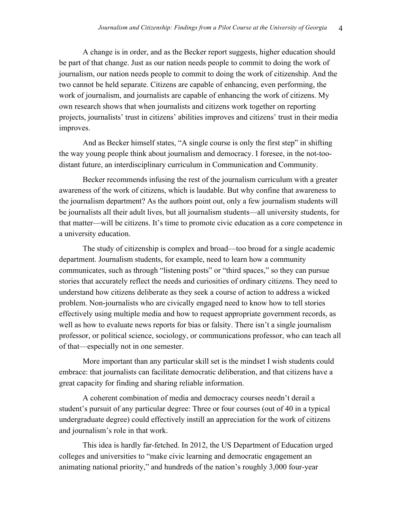A change is in order, and as the Becker report suggests, higher education should be part of that change. Just as our nation needs people to commit to doing the work of journalism, our nation needs people to commit to doing the work of citizenship. And the two cannot be held separate. Citizens are capable of enhancing, even performing, the work of journalism, and journalists are capable of enhancing the work of citizens. My own research shows that when journalists and citizens work together on reporting projects, journalists' trust in citizens' abilities improves and citizens' trust in their media improves.

And as Becker himself states, "A single course is only the first step" in shifting the way young people think about journalism and democracy. I foresee, in the not-toodistant future, an interdisciplinary curriculum in Communication and Community.

Becker recommends infusing the rest of the journalism curriculum with a greater awareness of the work of citizens, which is laudable. But why confine that awareness to the journalism department? As the authors point out, only a few journalism students will be journalists all their adult lives, but all journalism students—all university students, for that matter—will be citizens. It's time to promote civic education as a core competence in a university education.

The study of citizenship is complex and broad—too broad for a single academic department. Journalism students, for example, need to learn how a community communicates, such as through "listening posts" or "third spaces," so they can pursue stories that accurately reflect the needs and curiosities of ordinary citizens. They need to understand how citizens deliberate as they seek a course of action to address a wicked problem. Non-journalists who are civically engaged need to know how to tell stories effectively using multiple media and how to request appropriate government records, as well as how to evaluate news reports for bias or falsity. There isn't a single journalism professor, or political science, sociology, or communications professor, who can teach all of that—especially not in one semester.

More important than any particular skill set is the mindset I wish students could embrace: that journalists can facilitate democratic deliberation, and that citizens have a great capacity for finding and sharing reliable information.

A coherent combination of media and democracy courses needn't derail a student's pursuit of any particular degree: Three or four courses (out of 40 in a typical undergraduate degree) could effectively instill an appreciation for the work of citizens and journalism's role in that work.

This idea is hardly far-fetched. In 2012, the US Department of Education urged colleges and universities to "make civic learning and democratic engagement an animating national priority," and hundreds of the nation's roughly 3,000 four-year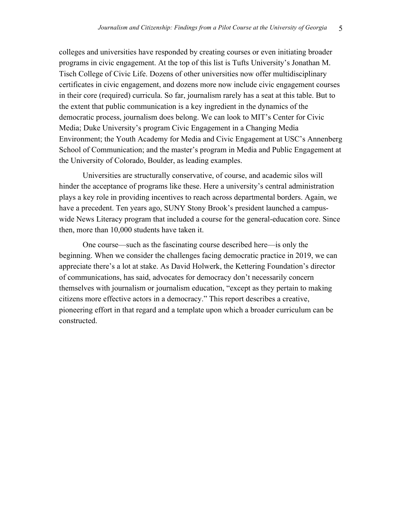colleges and universities have responded by creating courses or even initiating broader programs in civic engagement. At the top of this list is Tufts University's Jonathan M. Tisch College of Civic Life. Dozens of other universities now offer multidisciplinary certificates in civic engagement, and dozens more now include civic engagement courses in their core (required) curricula. So far, journalism rarely has a seat at this table. But to the extent that public communication is a key ingredient in the dynamics of the democratic process, journalism does belong. We can look to MIT's Center for Civic Media; Duke University's program Civic Engagement in a Changing Media Environment; the Youth Academy for Media and Civic Engagement at USC's Annenberg School of Communication; and the master's program in Media and Public Engagement at the University of Colorado, Boulder, as leading examples.

Universities are structurally conservative, of course, and academic silos will hinder the acceptance of programs like these. Here a university's central administration plays a key role in providing incentives to reach across departmental borders. Again, we have a precedent. Ten years ago, SUNY Stony Brook's president launched a campuswide News Literacy program that included a course for the general-education core. Since then, more than 10,000 students have taken it.

One course—such as the fascinating course described here—is only the beginning. When we consider the challenges facing democratic practice in 2019, we can appreciate there's a lot at stake. As David Holwerk, the Kettering Foundation's director of communications, has said, advocates for democracy don't necessarily concern themselves with journalism or journalism education, "except as they pertain to making citizens more effective actors in a democracy." This report describes a creative, pioneering effort in that regard and a template upon which a broader curriculum can be constructed.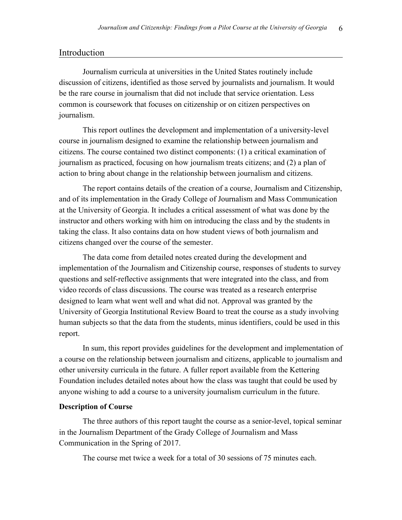### Introduction

Journalism curricula at universities in the United States routinely include discussion of citizens, identified as those served by journalists and journalism. It would be the rare course in journalism that did not include that service orientation. Less common is coursework that focuses on citizenship or on citizen perspectives on journalism.

This report outlines the development and implementation of a university-level course in journalism designed to examine the relationship between journalism and citizens. The course contained two distinct components: (1) a critical examination of journalism as practiced, focusing on how journalism treats citizens; and (2) a plan of action to bring about change in the relationship between journalism and citizens.

The report contains details of the creation of a course, Journalism and Citizenship, and of its implementation in the Grady College of Journalism and Mass Communication at the University of Georgia. It includes a critical assessment of what was done by the instructor and others working with him on introducing the class and by the students in taking the class. It also contains data on how student views of both journalism and citizens changed over the course of the semester.

The data come from detailed notes created during the development and implementation of the Journalism and Citizenship course, responses of students to survey questions and self-reflective assignments that were integrated into the class, and from video records of class discussions. The course was treated as a research enterprise designed to learn what went well and what did not. Approval was granted by the University of Georgia Institutional Review Board to treat the course as a study involving human subjects so that the data from the students, minus identifiers, could be used in this report.

In sum, this report provides guidelines for the development and implementation of a course on the relationship between journalism and citizens, applicable to journalism and other university curricula in the future. A fuller report available from the Kettering Foundation includes detailed notes about how the class was taught that could be used by anyone wishing to add a course to a university journalism curriculum in the future.

#### **Description of Course**

The three authors of this report taught the course as a senior-level, topical seminar in the Journalism Department of the Grady College of Journalism and Mass Communication in the Spring of 2017.

The course met twice a week for a total of 30 sessions of 75 minutes each.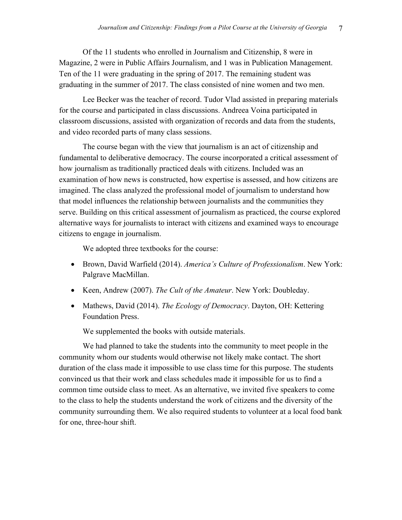Of the 11 students who enrolled in Journalism and Citizenship, 8 were in Magazine, 2 were in Public Affairs Journalism, and 1 was in Publication Management. Ten of the 11 were graduating in the spring of 2017. The remaining student was graduating in the summer of 2017. The class consisted of nine women and two men.

Lee Becker was the teacher of record. Tudor Vlad assisted in preparing materials for the course and participated in class discussions. Andreea Voina participated in classroom discussions, assisted with organization of records and data from the students, and video recorded parts of many class sessions.

The course began with the view that journalism is an act of citizenship and fundamental to deliberative democracy. The course incorporated a critical assessment of how journalism as traditionally practiced deals with citizens. Included was an examination of how news is constructed, how expertise is assessed, and how citizens are imagined. The class analyzed the professional model of journalism to understand how that model influences the relationship between journalists and the communities they serve. Building on this critical assessment of journalism as practiced, the course explored alternative ways for journalists to interact with citizens and examined ways to encourage citizens to engage in journalism.

We adopted three textbooks for the course:

- Brown, David Warfield (2014). *America's Culture of Professionalism*. New York: Palgrave MacMillan.
- Keen, Andrew (2007). *The Cult of the Amateur*. New York: Doubleday.
- Mathews, David (2014). *The Ecology of Democracy*. Dayton, OH: Kettering Foundation Press.

We supplemented the books with outside materials.

We had planned to take the students into the community to meet people in the community whom our students would otherwise not likely make contact. The short duration of the class made it impossible to use class time for this purpose. The students convinced us that their work and class schedules made it impossible for us to find a common time outside class to meet. As an alternative, we invited five speakers to come to the class to help the students understand the work of citizens and the diversity of the community surrounding them. We also required students to volunteer at a local food bank for one, three-hour shift.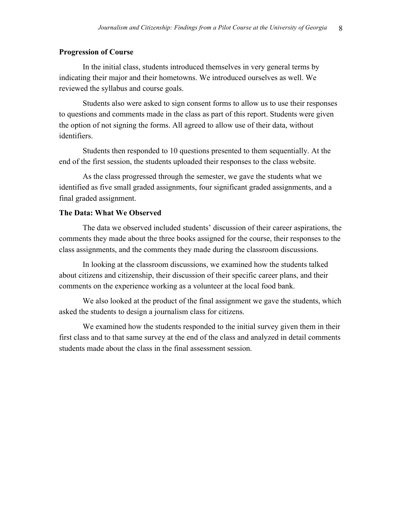### **Progression of Course**

In the initial class, students introduced themselves in very general terms by indicating their major and their hometowns. We introduced ourselves as well. We reviewed the syllabus and course goals.

Students also were asked to sign consent forms to allow us to use their responses to questions and comments made in the class as part of this report. Students were given the option of not signing the forms. All agreed to allow use of their data, without identifiers.

Students then responded to 10 questions presented to them sequentially. At the end of the first session, the students uploaded their responses to the class website.

As the class progressed through the semester, we gave the students what we identified as five small graded assignments, four significant graded assignments, and a final graded assignment.

### **The Data: What We Observed**

The data we observed included students' discussion of their career aspirations, the comments they made about the three books assigned for the course, their responses to the class assignments, and the comments they made during the classroom discussions.

In looking at the classroom discussions, we examined how the students talked about citizens and citizenship, their discussion of their specific career plans, and their comments on the experience working as a volunteer at the local food bank.

We also looked at the product of the final assignment we gave the students, which asked the students to design a journalism class for citizens.

We examined how the students responded to the initial survey given them in their first class and to that same survey at the end of the class and analyzed in detail comments students made about the class in the final assessment session.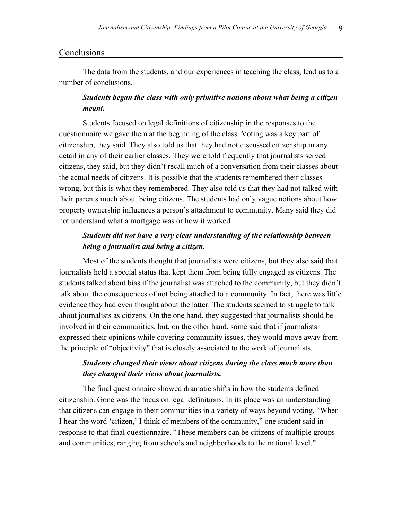### **Conclusions**

The data from the students, and our experiences in teaching the class, lead us to a number of conclusions.

## *Students began the class with only primitive notions about what being a citizen meant.*

Students focused on legal definitions of citizenship in the responses to the questionnaire we gave them at the beginning of the class. Voting was a key part of citizenship, they said. They also told us that they had not discussed citizenship in any detail in any of their earlier classes. They were told frequently that journalists served citizens, they said, but they didn't recall much of a conversation from their classes about the actual needs of citizens. It is possible that the students remembered their classes wrong, but this is what they remembered. They also told us that they had not talked with their parents much about being citizens. The students had only vague notions about how property ownership influences a person's attachment to community. Many said they did not understand what a mortgage was or how it worked.

## *Students did not have a very clear understanding of the relationship between being a journalist and being a citizen.*

Most of the students thought that journalists were citizens, but they also said that journalists held a special status that kept them from being fully engaged as citizens. The students talked about bias if the journalist was attached to the community, but they didn't talk about the consequences of not being attached to a community. In fact, there was little evidence they had even thought about the latter. The students seemed to struggle to talk about journalists as citizens. On the one hand, they suggested that journalists should be involved in their communities, but, on the other hand, some said that if journalists expressed their opinions while covering community issues, they would move away from the principle of "objectivity" that is closely associated to the work of journalists.

## *Students changed their views about citizens during the class much more than they changed their views about journalists.*

The final questionnaire showed dramatic shifts in how the students defined citizenship. Gone was the focus on legal definitions. In its place was an understanding that citizens can engage in their communities in a variety of ways beyond voting. "When I hear the word 'citizen,' I think of members of the community," one student said in response to that final questionnaire. "These members can be citizens of multiple groups and communities, ranging from schools and neighborhoods to the national level."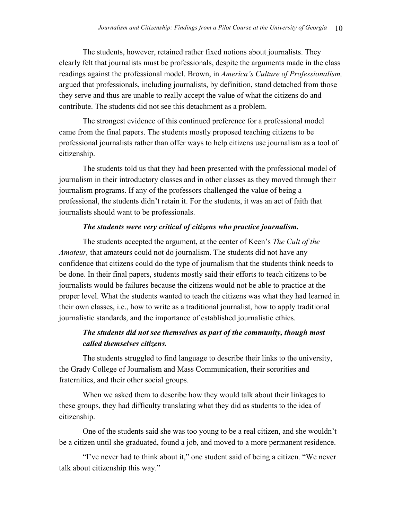The students, however, retained rather fixed notions about journalists. They clearly felt that journalists must be professionals, despite the arguments made in the class readings against the professional model. Brown, in *America's Culture of Professionalism,* argued that professionals, including journalists, by definition, stand detached from those they serve and thus are unable to really accept the value of what the citizens do and contribute. The students did not see this detachment as a problem.

The strongest evidence of this continued preference for a professional model came from the final papers. The students mostly proposed teaching citizens to be professional journalists rather than offer ways to help citizens use journalism as a tool of citizenship.

The students told us that they had been presented with the professional model of journalism in their introductory classes and in other classes as they moved through their journalism programs. If any of the professors challenged the value of being a professional, the students didn't retain it. For the students, it was an act of faith that journalists should want to be professionals.

## *The students were very critical of citizens who practice journalism.*

The students accepted the argument, at the center of Keen's *The Cult of the Amateur,* that amateurs could not do journalism. The students did not have any confidence that citizens could do the type of journalism that the students think needs to be done. In their final papers, students mostly said their efforts to teach citizens to be journalists would be failures because the citizens would not be able to practice at the proper level. What the students wanted to teach the citizens was what they had learned in their own classes, i.e., how to write as a traditional journalist, how to apply traditional journalistic standards, and the importance of established journalistic ethics.

# *The students did not see themselves as part of the community, though most called themselves citizens.*

The students struggled to find language to describe their links to the university, the Grady College of Journalism and Mass Communication, their sororities and fraternities, and their other social groups.

When we asked them to describe how they would talk about their linkages to these groups, they had difficulty translating what they did as students to the idea of citizenship.

One of the students said she was too young to be a real citizen, and she wouldn't be a citizen until she graduated, found a job, and moved to a more permanent residence.

"I've never had to think about it," one student said of being a citizen. "We never talk about citizenship this way."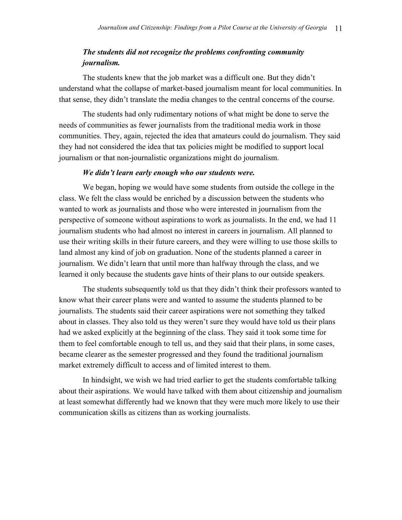# *The students did not recognize the problems confronting community journalism.*

The students knew that the job market was a difficult one. But they didn't understand what the collapse of market-based journalism meant for local communities. In that sense, they didn't translate the media changes to the central concerns of the course.

The students had only rudimentary notions of what might be done to serve the needs of communities as fewer journalists from the traditional media work in those communities. They, again, rejected the idea that amateurs could do journalism. They said they had not considered the idea that tax policies might be modified to support local journalism or that non-journalistic organizations might do journalism.

#### *We didn't learn early enough who our students were.*

We began, hoping we would have some students from outside the college in the class. We felt the class would be enriched by a discussion between the students who wanted to work as journalists and those who were interested in journalism from the perspective of someone without aspirations to work as journalists. In the end, we had 11 journalism students who had almost no interest in careers in journalism. All planned to use their writing skills in their future careers, and they were willing to use those skills to land almost any kind of job on graduation. None of the students planned a career in journalism. We didn't learn that until more than halfway through the class, and we learned it only because the students gave hints of their plans to our outside speakers.

The students subsequently told us that they didn't think their professors wanted to know what their career plans were and wanted to assume the students planned to be journalists. The students said their career aspirations were not something they talked about in classes. They also told us they weren't sure they would have told us their plans had we asked explicitly at the beginning of the class. They said it took some time for them to feel comfortable enough to tell us, and they said that their plans, in some cases, became clearer as the semester progressed and they found the traditional journalism market extremely difficult to access and of limited interest to them.

In hindsight, we wish we had tried earlier to get the students comfortable talking about their aspirations. We would have talked with them about citizenship and journalism at least somewhat differently had we known that they were much more likely to use their communication skills as citizens than as working journalists.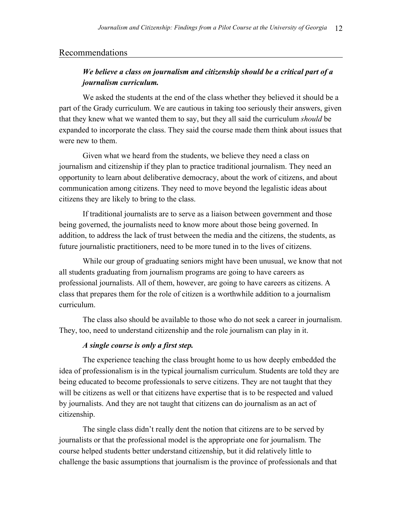### Recommendations

# *We believe a class on journalism and citizenship should be a critical part of a journalism curriculum.*

We asked the students at the end of the class whether they believed it should be a part of the Grady curriculum. We are cautious in taking too seriously their answers, given that they knew what we wanted them to say, but they all said the curriculum *should* be expanded to incorporate the class. They said the course made them think about issues that were new to them.

Given what we heard from the students, we believe they need a class on journalism and citizenship if they plan to practice traditional journalism. They need an opportunity to learn about deliberative democracy, about the work of citizens, and about communication among citizens. They need to move beyond the legalistic ideas about citizens they are likely to bring to the class.

If traditional journalists are to serve as a liaison between government and those being governed, the journalists need to know more about those being governed. In addition, to address the lack of trust between the media and the citizens, the students, as future journalistic practitioners, need to be more tuned in to the lives of citizens.

While our group of graduating seniors might have been unusual, we know that not all students graduating from journalism programs are going to have careers as professional journalists. All of them, however, are going to have careers as citizens. A class that prepares them for the role of citizen is a worthwhile addition to a journalism curriculum.

The class also should be available to those who do not seek a career in journalism. They, too, need to understand citizenship and the role journalism can play in it.

### *A single course is only a first step.*

The experience teaching the class brought home to us how deeply embedded the idea of professionalism is in the typical journalism curriculum. Students are told they are being educated to become professionals to serve citizens. They are not taught that they will be citizens as well or that citizens have expertise that is to be respected and valued by journalists. And they are not taught that citizens can do journalism as an act of citizenship.

The single class didn't really dent the notion that citizens are to be served by journalists or that the professional model is the appropriate one for journalism. The course helped students better understand citizenship, but it did relatively little to challenge the basic assumptions that journalism is the province of professionals and that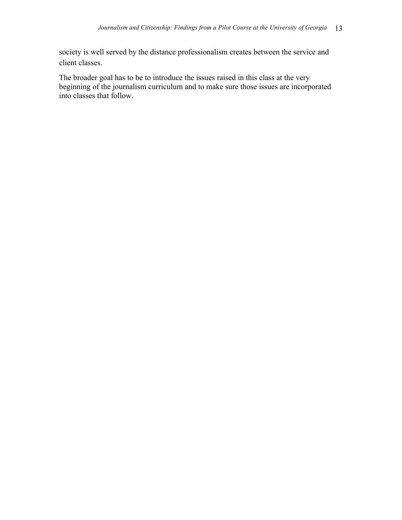society is well served by the distance professionalism creates between the service and client classes.

The broader goal has to be to introduce the issues raised in this class at the very beginning of the journalism curriculum and to make sure those issues are incorporated into classes that follow.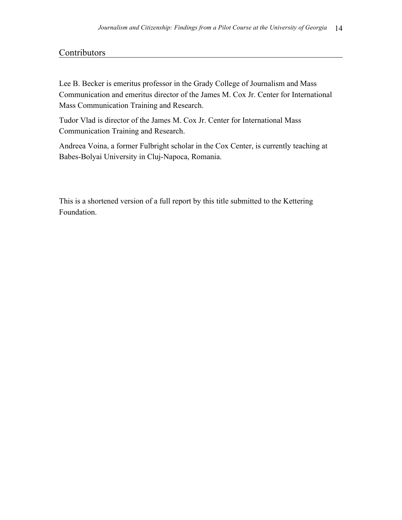# **Contributors**

Lee B. Becker is emeritus professor in the Grady College of Journalism and Mass Communication and emeritus director of the James M. Cox Jr. Center for International Mass Communication Training and Research.

Tudor Vlad is director of the James M. Cox Jr. Center for International Mass Communication Training and Research.

Andreea Voina, a former Fulbright scholar in the Cox Center, is currently teaching at Babes-Bolyai University in Cluj-Napoca, Romania.

This is a shortened version of a full report by this title submitted to the Kettering Foundation.